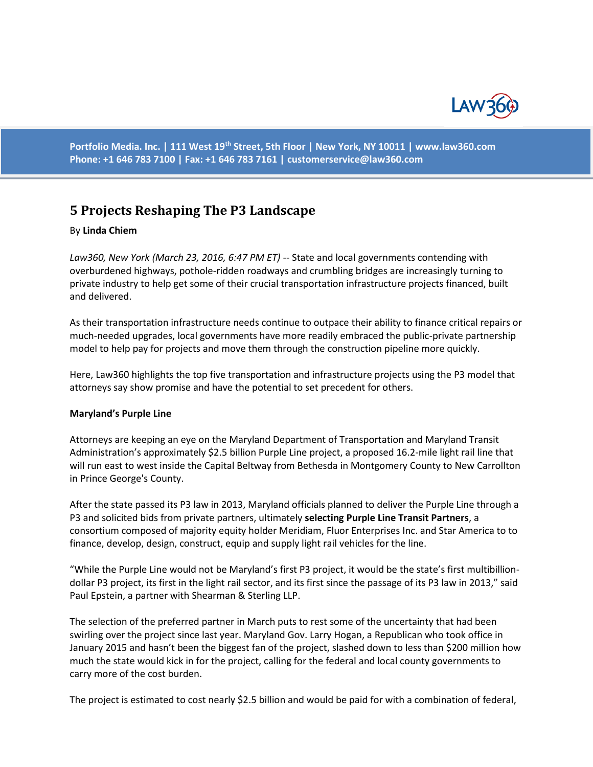

**Portfolio Media. Inc. | 111 West 19th Street, 5th Floor | New York, NY 10011 | www.law360.com Phone: +1 646 783 7100 | Fax: +1 646 783 7161 | [customerservice@law360.com](mailto:customerservice@law360.com)**

# **5 Projects Reshaping The P3 Landscape**

#### By **Linda Chiem**

Law360, New York (March 23, 2016, 6:47 PM ET) -- State and local governments contending with overburdened highways, pothole-ridden roadways and crumbling bridges are increasingly turning to private industry to help get some of their crucial transportation infrastructure projects financed, built and delivered.

As their transportation infrastructure needs continue to outpace their ability to finance critical repairs or much-needed upgrades, local governments have more readily embraced the public-private partnership model to help pay for projects and move them through the construction pipeline more quickly.

Here, Law360 highlights the top five transportation and infrastructure projects using the P3 model that attorneys say show promise and have the potential to set precedent for others.

#### **Maryland's Purple Line**

Attorneys are keeping an eye on the Maryland Department of Transportation and Maryland Transit Administration's approximately \$2.5 billion Purple Line project, a proposed 16.2-mile light rail line that will run east to west inside the Capital Beltway from Bethesda in Montgomery County to New Carrollton in Prince George's County.

After the state passed its P3 law in 2013, Maryland officials planned to deliver the Purple Line through a P3 and solicited bids from private partners, ultimately **selecting Purple Line Transit Partners**, a consortium composed of majority equity holder Meridiam, Fluor Enterprises Inc. and Star America to to finance, develop, design, construct, equip and supply light rail vehicles for the line.

"While the Purple Line would not be Maryland's first P3 project, it would be the state's first multibilliondollar P3 project, its first in the light rail sector, and its first since the passage of its P3 law in 2013," said Paul Epstein, a partner with Shearman & Sterling LLP.

The selection of the preferred partner in March puts to rest some of the uncertainty that had been swirling over the project since last year. Maryland Gov. Larry Hogan, a Republican who took office in January 2015 and hasn't been the biggest fan of the project, slashed down to less than \$200 million how much the state would kick in for the project, calling for the federal and local county governments to carry more of the cost burden.

The project is estimated to cost nearly \$2.5 billion and would be paid for with a combination of federal,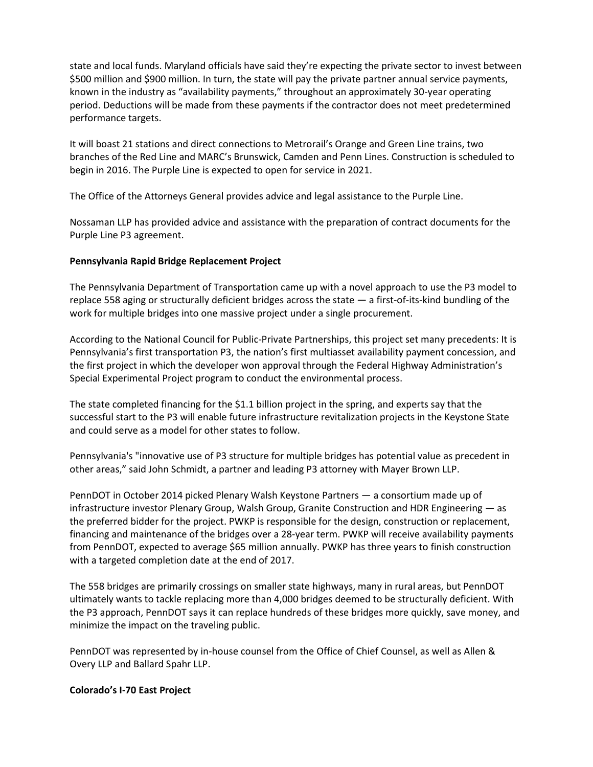state and local funds. Maryland officials have said they're expecting the private sector to invest between \$500 million and \$900 million. In turn, the state will pay the private partner annual service payments, known in the industry as "availability payments," throughout an approximately 30-year operating period. Deductions will be made from these payments if the contractor does not meet predetermined performance targets.

It will boast 21 stations and direct connections to Metrorail's Orange and Green Line trains, two branches of the Red Line and MARC's Brunswick, Camden and Penn Lines. Construction is scheduled to begin in 2016. The Purple Line is expected to open for service in 2021.

The Office of the Attorneys General provides advice and legal assistance to the Purple Line.

Nossaman LLP has provided advice and assistance with the preparation of contract documents for the Purple Line P3 agreement.

## **Pennsylvania Rapid Bridge Replacement Project**

The Pennsylvania Department of Transportation came up with a novel approach to use the P3 model to replace 558 aging or structurally deficient bridges across the state — a first-of-its-kind bundling of the work for multiple bridges into one massive project under a single procurement.

According to the National Council for Public-Private Partnerships, this project set many precedents: It is Pennsylvania's first transportation P3, the nation's first multiasset availability payment concession, and the first project in which the developer won approval through the Federal Highway Administration's Special Experimental Project program to conduct the environmental process.

The state completed financing for the \$1.1 billion project in the spring, and experts say that the successful start to the P3 will enable future infrastructure revitalization projects in the Keystone State and could serve as a model for other states to follow.

Pennsylvania's "innovative use of P3 structure for multiple bridges has potential value as precedent in other areas," said John Schmidt, a partner and leading P3 attorney with Mayer Brown LLP.

PennDOT in October 2014 picked Plenary Walsh Keystone Partners — a consortium made up of infrastructure investor Plenary Group, Walsh Group, Granite Construction and HDR Engineering — as the preferred bidder for the project. PWKP is responsible for the design, construction or replacement, financing and maintenance of the bridges over a 28-year term. PWKP will receive availability payments from PennDOT, expected to average \$65 million annually. PWKP has three years to finish construction with a targeted completion date at the end of 2017.

The 558 bridges are primarily crossings on smaller state highways, many in rural areas, but PennDOT ultimately wants to tackle replacing more than 4,000 bridges deemed to be structurally deficient. With the P3 approach, PennDOT says it can replace hundreds of these bridges more quickly, save money, and minimize the impact on the traveling public.

PennDOT was represented by in-house counsel from the Office of Chief Counsel, as well as Allen & Overy LLP and Ballard Spahr LLP.

### **Colorado's I-70 East Project**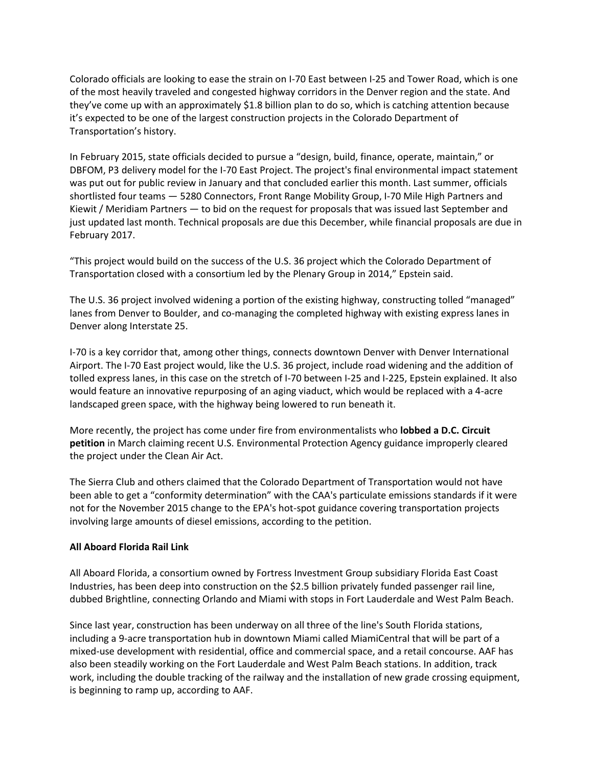Colorado officials are looking to ease the strain on I-70 East between I-25 and Tower Road, which is one of the most heavily traveled and congested highway corridors in the Denver region and the state. And they've come up with an approximately \$1.8 billion plan to do so, which is catching attention because it's expected to be one of the largest construction projects in the Colorado Department of Transportation's history.

In February 2015, state officials decided to pursue a "design, build, finance, operate, maintain," or DBFOM, P3 delivery model for the I-70 East Project. The project's final environmental impact statement was put out for public review in January and that concluded earlier this month. Last summer, officials shortlisted four teams — 5280 Connectors, Front Range Mobility Group, I-70 Mile High Partners and Kiewit / Meridiam Partners — to bid on the request for proposals that was issued last September and just updated last month. Technical proposals are due this December, while financial proposals are due in February 2017.

"This project would build on the success of the U.S. 36 project which the Colorado Department of Transportation closed with a consortium led by the Plenary Group in 2014," Epstein said.

The U.S. 36 project involved widening a portion of the existing highway, constructing tolled "managed" lanes from Denver to Boulder, and co-managing the completed highway with existing express lanes in Denver along Interstate 25.

I-70 is a key corridor that, among other things, connects downtown Denver with Denver International Airport. The I-70 East project would, like the U.S. 36 project, include road widening and the addition of tolled express lanes, in this case on the stretch of I-70 between I-25 and I-225, Epstein explained. It also would feature an innovative repurposing of an aging viaduct, which would be replaced with a 4-acre landscaped green space, with the highway being lowered to run beneath it.

More recently, the project has come under fire from environmentalists who **lobbed a D.C. Circuit petition** in March claiming recent U.S. Environmental Protection Agency guidance improperly cleared the project under the Clean Air Act.

The Sierra Club and others claimed that the Colorado Department of Transportation would not have been able to get a "conformity determination" with the CAA's particulate emissions standards if it were not for the November 2015 change to the EPA's hot-spot guidance covering transportation projects involving large amounts of diesel emissions, according to the petition.

### **All Aboard Florida Rail Link**

All Aboard Florida, a consortium owned by Fortress Investment Group subsidiary Florida East Coast Industries, has been deep into construction on the \$2.5 billion privately funded passenger rail line, dubbed Brightline, connecting Orlando and Miami with stops in Fort Lauderdale and West Palm Beach.

Since last year, construction has been underway on all three of the line's South Florida stations, including a 9-acre transportation hub in downtown Miami called MiamiCentral that will be part of a mixed-use development with residential, office and commercial space, and a retail concourse. AAF has also been steadily working on the Fort Lauderdale and West Palm Beach stations. In addition, track work, including the double tracking of the railway and the installation of new grade crossing equipment, is beginning to ramp up, according to AAF.